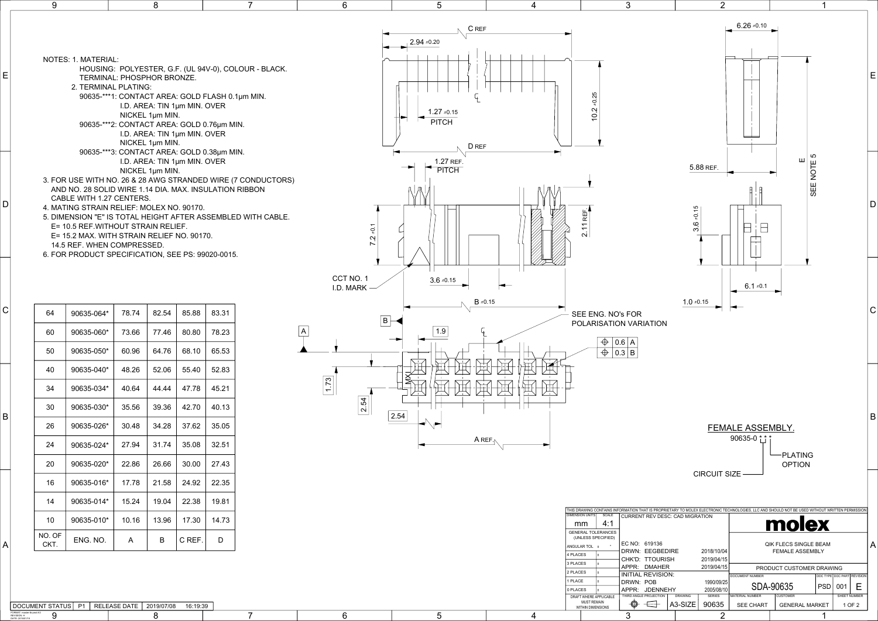|                           |                                         |       |         | THIS DRAWING CONTAINS INFORMATION THAT IS PROPI |
|---------------------------|-----------------------------------------|-------|---------|-------------------------------------------------|
| <b>DIMENSION UNITS</b>    |                                         | SCALE |         | <b>CURRENT REV DE</b>                           |
| mm                        |                                         | 4:1   |         |                                                 |
| <b>GENERAL TOLERANCES</b> | (UNLESS SPECIFIED)                      |       |         |                                                 |
| ANGULAR TOL               |                                         | $+$   |         | EC NO: 619136                                   |
| 4 PLACES                  |                                         | Ŧ     |         | DRWN: EEGBE                                     |
|                           |                                         |       |         | CHK'D: TTOUR                                    |
| 3 PLACES                  |                                         | Ŧ     | APPR: . | <b>DMAHE</b>                                    |
| 2 PLACES                  |                                         | Ŧ     |         | INITIAL REVISI                                  |
| 1 PLACE                   |                                         | Ŧ     | DRWN:   | POB                                             |
| 0 PLACES                  |                                         | Ŧ     |         | APPR: JDENN                                     |
|                           | DRAFT WHERE APPLICABLE                  |       |         | THIRD ANGLE PROJECTION                          |
|                           | <b>MUST REMAIN</b><br>WITHIN DIMENSIONS |       |         |                                                 |
|                           |                                         |       |         |                                                 |

| 10<br>…IMFN⊤<br>A                                                   | D <sub>1</sub> | ⊷ | <b>DATE</b><br>∼ | 2019/07<br>7/08 | 16:19:39 |  |  |
|---------------------------------------------------------------------|----------------|---|------------------|-----------------|----------|--|--|
| FORMAT: master-tb-prod-A3<br><b>REVISION: H</b><br>DATE: 2018/01/18 |                |   |                  |                 |          |  |  |

| 9  |                                                                                                                                                                        |       | 8                                  |                                                              |       | $\overline{7}$                                                                                                               | $6\overline{6}$ |                        | $5\overline{)}$                                     | $\overline{4}$ | $\mathbf{3}$                                | 2                      |                     |  |
|----|------------------------------------------------------------------------------------------------------------------------------------------------------------------------|-------|------------------------------------|--------------------------------------------------------------|-------|------------------------------------------------------------------------------------------------------------------------------|-----------------|------------------------|-----------------------------------------------------|----------------|---------------------------------------------|------------------------|---------------------|--|
|    | NOTES: 1. MATERIAL:                                                                                                                                                    |       |                                    |                                                              |       | HOUSING: POLYESTER, G.F. (UL 94V-0), COLOUR - BLACK.                                                                         |                 |                        | C <sub>REF</sub><br>$12.94 \pm 0.20$                |                |                                             | $6.26 \pm 0.10$        |                     |  |
|    | TERMINAL: PHOSPHOR BRONZE.<br>2. TERMINAL PLATING:<br>90635-***1: CONTACT AREA: GOLD FLASH 0.1µm MIN.<br>90635-***2: CONTACT AREA: GOLD 0.76µm MIN.                    |       | NICKEL 1µm MIN.<br>NICKEL 1µm MIN. | I.D. AREA: TIN 1µm MIN. OVER<br>I.D. AREA: TIN 1µm MIN. OVER |       |                                                                                                                              |                 |                        | $1.27 \pm 0.15$<br><b>PITCH</b><br>D <sub>REF</sub> |                | $+0.25$<br>0.2                              |                        |                     |  |
|    | 90635-***3: CONTACT AREA: GOLD 0.38µm MIN.                                                                                                                             |       | NICKEL 1µm MIN.                    | I.D. AREA: TIN 1µm MIN. OVER                                 |       |                                                                                                                              |                 |                        | 1.27 REF.<br><b>PITCH</b>                           |                |                                             | 5.88 REF.              | ഗ<br>$rac{E}{NOTE}$ |  |
|    | AND NO. 28 SOLID WIRE 1.14 DIA. MAX. INSULATION RIBBON<br>CABLE WITH 1.27 CENTERS.<br>4. MATING STRAIN RELIEF: MOLEX NO. 90170.<br>E= 10.5 REF. WITHOUT STRAIN RELIEF. |       |                                    |                                                              |       | 3. FOR USE WITH NO. 26 & 28 AWG STRANDED WIRE (7 CONDUCTORS)<br>5. DIMENSION "E" IS TOTAL HEIGHT AFTER ASSEMBLED WITH CABLE. |                 |                        |                                                     |                | 운                                           | $-0.15$<br>$\circ$     | SEE                 |  |
|    | E= 15.2 MAX. WITH STRAIN RELIEF NO. 90170.<br>14.5 REF. WHEN COMPRESSED.<br>6. FOR PRODUCT SPECIFICATION, SEE PS: 99020-0015.                                          |       |                                    |                                                              |       |                                                                                                                              |                 | $-0.1$<br>$\sim$       |                                                     |                |                                             | $\Box$<br>$\Box$<br>ന് |                     |  |
|    |                                                                                                                                                                        |       |                                    |                                                              |       |                                                                                                                              |                 | CCT NO. 1<br>I.D. MARK | $3.6 \pm 0.15$                                      |                |                                             | $6.1 \pm 0.1$          |                     |  |
| 64 | 90635-064*                                                                                                                                                             | 78.74 | 82.54                              | 85.88                                                        | 83.31 |                                                                                                                              |                 |                        | $\boxed{B}$                                         | $B \neq 0.15$  | SEE ENG. NO's FOR                           | $1.0 = 0.15$           |                     |  |
| 60 | 90635-060*                                                                                                                                                             | 73.66 | 77.46                              | 80.80                                                        | 78.23 | $\overline{A}$                                                                                                               |                 |                        | 1.9                                                 |                | POLARISATION VARIATION<br>$\bigoplus$ 0.6 A |                        |                     |  |
| 50 | 90635-050*                                                                                                                                                             | 60.96 | 64.76                              | 68.10                                                        | 65.53 |                                                                                                                              |                 |                        |                                                     |                | $\overline{\bigoplus}$ 0.3 B                |                        |                     |  |
| 40 | 90635-040*                                                                                                                                                             | 48.26 | 52.06                              | 55.40                                                        | 52.83 |                                                                                                                              | 1.73            |                        | <b>ANH</b>                                          | 茧              |                                             |                        |                     |  |
| 34 | 90635-034*                                                                                                                                                             | 40.64 | 44.44                              | 47.78                                                        | 45.21 |                                                                                                                              |                 |                        | <u>洪</u>                                            |                |                                             |                        |                     |  |
| 30 | 90635-030*                                                                                                                                                             | 35.56 | 39.36                              | 42.70                                                        | 40.13 |                                                                                                                              |                 | 2.54                   | 254                                                 |                |                                             |                        |                     |  |

|    | 64 | 90635-064* | 78.74 | 82.54 | 85.88 | 83.31 | SEE ENG. NO's FOR<br>B                                                              |                           |   |
|----|----|------------|-------|-------|-------|-------|-------------------------------------------------------------------------------------|---------------------------|---|
|    | 60 | 90635-060* | 73.66 | 77.46 | 80.80 | 78.23 | POLARISATION VARIATION<br>1.9<br>A<br>$\rightarrow$   0.6   A                       |                           |   |
|    | 50 | 90635-050* | 60.96 | 64.76 | 68.10 | 65.53 | $\oplus$ 0.3 B                                                                      |                           |   |
|    | 40 | 90635-040* | 48.26 | 52.06 | 55.40 | 52.83 | $\frac{1}{2}$<br> 用             <br><b>[宋]</b><br>ÆN<br>$\overline{a}$              |                           |   |
|    | 34 | 90635-034* | 40.64 | 44.44 | 47.78 | 45.21 | $\frac{1}{2}$<br>$\nabla$<br>∧—∕⊺<br>世上世<br>世<br>Æ<br>宀<br>$\overline{\phantom{a}}$ |                           |   |
| З, | 30 | 90635-030* | 35.56 | 39.36 | 42.70 | 40.13 | $\sim$<br> 2.54                                                                     |                           | B |
|    | 26 | 90635-026* | 30.48 | 34.28 | 37.62 | 35.05 |                                                                                     | FEMALE ASSEMBLY.          |   |
|    | 24 | 90635-024* | 27.94 | 31.74 | 35.08 | 32.51 | A REF.                                                                              | 90635-0 * * *<br>DI ATING |   |

|        |                |            |       |       |        |       |                        |      | CCT NO. 1<br>I.D. MARK |             | $\Box$<br>$3.6 \pm 0.15$ | $\Box$        |   |                                                           |                                            |                        | $6.1 \pm 0.1$   |                                                                                                                                               |   |
|--------|----------------|------------|-------|-------|--------|-------|------------------------|------|------------------------|-------------|--------------------------|---------------|---|-----------------------------------------------------------|--------------------------------------------|------------------------|-----------------|-----------------------------------------------------------------------------------------------------------------------------------------------|---|
| $\sim$ | 64             | 90635-064* | 78.74 | 82.54 | 85.88  | 83.31 |                        |      | $\boxed{B}$            |             |                          | $B \neq 0.15$ |   | SEE ENG. NO's FOR                                         |                                            | $1.0 = 0.15$           |                 |                                                                                                                                               |   |
|        | 60             | 90635-060* | 73.66 | 77.46 | 80.80  | 78.23 | $\overline{A}$<br>└─┬─ |      |                        | — ⊵         | 1.9                      |               |   |                                                           | POLARISATION VARIATION                     |                        |                 |                                                                                                                                               |   |
|        | 50             | 90635-050* | 60.96 | 64.76 | 68.10  | 65.53 |                        |      |                        |             |                          |               |   |                                                           | $\bigoplus$ 0.6 A<br>$\boxed{\oplus$ 0.3 B |                        |                 |                                                                                                                                               |   |
|        | 40             | 90635-040* | 48.26 | 52.06 | 55.40  | 52.83 |                        |      |                        |             |                          |               |   |                                                           |                                            |                        |                 |                                                                                                                                               |   |
|        | 34             | 90635-034* | 40.64 | 44.44 | 47.78  | 45.21 |                        | 1.73 |                        | X<br>N<br>坦 | 出                        |               | 洱 |                                                           |                                            |                        |                 |                                                                                                                                               |   |
| B      | 30             | 90635-030* | 35.56 | 39.36 | 42.70  | 40.13 |                        |      | 2.54                   | 2.54        |                          |               |   |                                                           |                                            |                        |                 |                                                                                                                                               | B |
|        | 26             | 90635-026* | 30.48 | 34.28 | 37.62  | 35.05 |                        |      |                        |             |                          |               |   |                                                           |                                            |                        |                 | <b>FEMALE ASSEMBLY.</b>                                                                                                                       |   |
|        | 24             | 90635-024* | 27.94 | 31.74 | 35.08  | 32.51 |                        |      |                        |             |                          | A REF.        |   |                                                           |                                            |                        | 90635-0 $*$ $*$ | -PLATING                                                                                                                                      |   |
|        | 20             | 90635-020* | 22.86 | 26.66 | 30.00  | 27.43 |                        |      |                        |             |                          |               |   |                                                           |                                            |                        |                 | <b>OPTION</b>                                                                                                                                 |   |
|        | 16             | 90635-016* | 17.78 | 21.58 | 24.92  | 22.35 |                        |      |                        |             |                          |               |   |                                                           |                                            |                        | CIRCUIT SIZE —  |                                                                                                                                               |   |
|        | 14             | 90635-014* | 15.24 | 19.04 | 22.38  | 19.81 |                        |      |                        |             |                          |               |   |                                                           |                                            |                        |                 | THIS DRAWING CONTAINS INFORMATION THAT IS PROPRIETARY TO MOLEX ELECTRONIC TECHNOLOGIES, LLC AND SHOULD NOT BE USED WITHOUT WRITTEN PERMISSION |   |
|        | 10             | 90635-010* | 10.16 | 13.96 | 17.30  | 14.73 |                        |      |                        |             |                          |               |   | DIMENSION UNITS<br>SCALE<br>4:1<br>mm                     | <b>CURRENT REV DESC: CAD MIGRATION</b>     |                        |                 | molex                                                                                                                                         |   |
|        | NO. OF<br>CKT. | ENG. NO.   | A     | B     | C REF. | D     |                        |      |                        |             |                          |               |   | GENERAL TOLERANCES<br>(UNLESS SPECIFIED)<br>ANGULAR TOL ± | EC NO: 619136<br>DRWN: EEGBEDIRE           | 2018/10/04             |                 | QIK FLECS SINGLE BEAM<br>FEMALE ASSEMBLY                                                                                                      |   |
|        |                |            |       |       |        |       |                        |      |                        |             |                          |               |   | 4 PLACES<br>3 PLACES<br>2 PLACES                          | CHK'D: TTOURISH<br>APPR: DMAHER<br>I       | 2019/04/1<br>2019/04/1 |                 | PRODUCT CUSTOMER DRAWING                                                                                                                      |   |



4

5

6